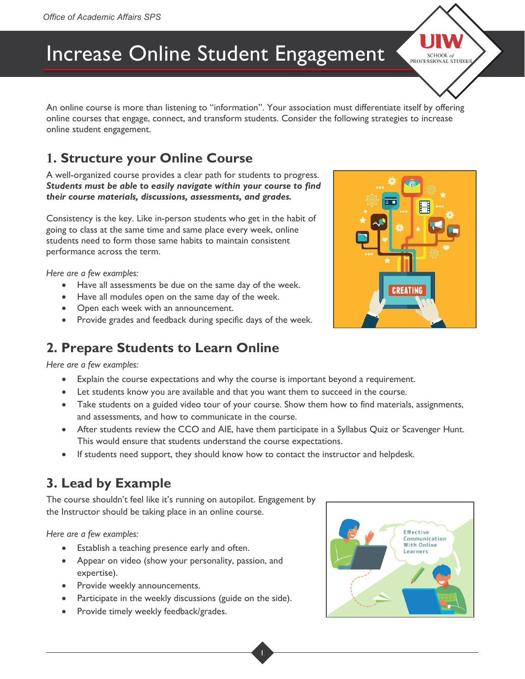# Increase Online Student Engagement

An online course is more than listening to "information". Your association must differentiate itself by offering online courses that engage, connect, and transform students. Consider the following strategies to increase online student engagement.

# **1. Structure your Online Course**

A well-organized course provides a clear path for students to progress. *Students must be able to easily navigate within your course to find their course materials, discussions, assessments, and grades.* 

Consistency is the key. Like in-person students who get in the habit of going to class at the same time and same place every week, online students need to form those same habits to maintain consistent performance across the term.

*Here are a few examples:*

- Have all assessments be due on the same day of the week.
- Have all modules open on the same day of the week.
- Open each week with an announcement.
- Provide grades and feedback during specific days of the week.

#### **2. Prepare Students to Learn Online**

*Here are a few examples:*

- Explain the course expectations and why the course is important beyond a requirement.
- Let students know you are available and that you want them to succeed in the course.
- Take students on a guided video tour of your course. Show them how to find materials, assignments, and assessments, and how to communicate in the course.
- After students review the CCO and AIE, have them participate in a Syllabus Quiz or Scavenger Hunt. This would ensure that students understand the course expectations.
- If students need support, they should know how to contact the instructor and helpdesk.

#### **3. Lead by Example**

The course shouldn't feel like it's running on autopilot. Engagement by the Instructor should be taking place in an online course.

*Here are a few examples:*

- **Establish a teaching presence early and often.**
- Appear on video (show your personality, passion, and expertise).
- Provide weekly announcements.
- Participate in the weekly discussions (guide on the side).
- Provide timely weekly feedback/grades.





SCHOOL of ESSIONAL STUDIES